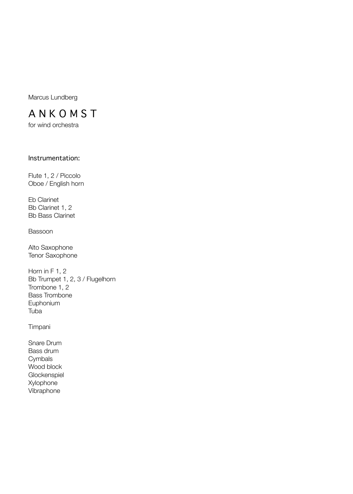Marcus Lundberg

A N K O M S T

for wind orchestra

## Instrumentation:

Flute 1, 2 / Piccolo Oboe / English horn

Eb Clarinet Bb Clarinet 1, 2 Bb Bass Clarinet

Bassoon

Alto Saxophone Tenor Saxophone

Horn in F 1, 2 Bb Trumpet 1, 2, 3 / Flugelhorn Trombone 1, 2 Bass Trombone **Euphonium** Tuba

Timpani

Snare Drum Bass drum **Cymbals** Wood block **Glockenspiel** Xylophone Vibraphone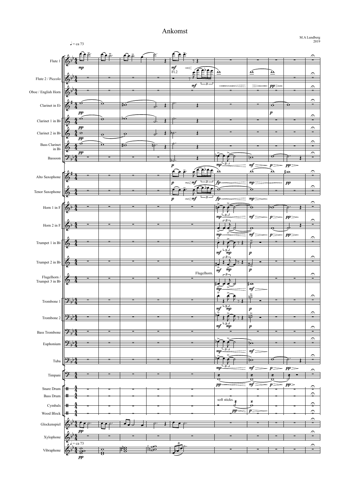## **Ankomst**

M.A Lundberg<br>2019

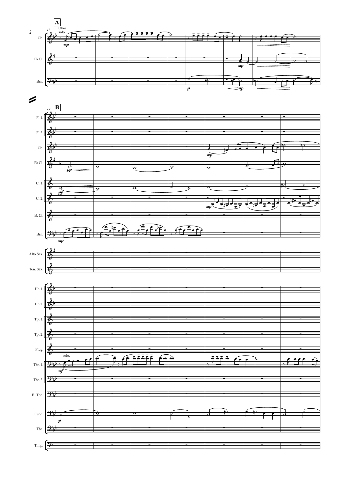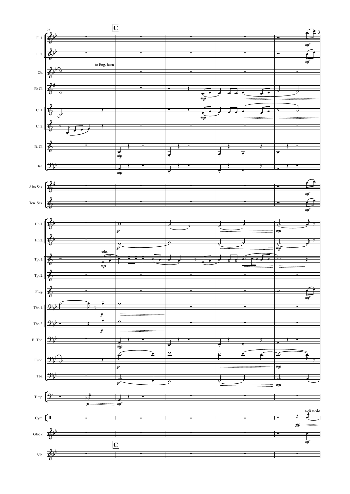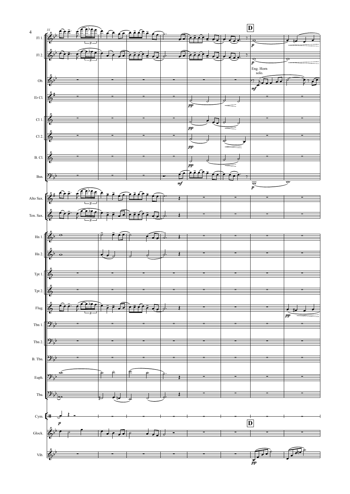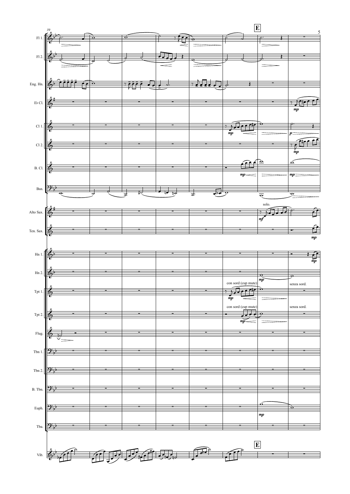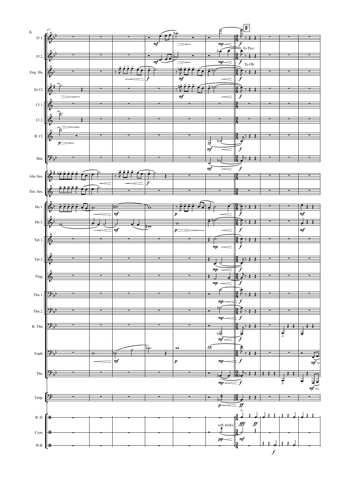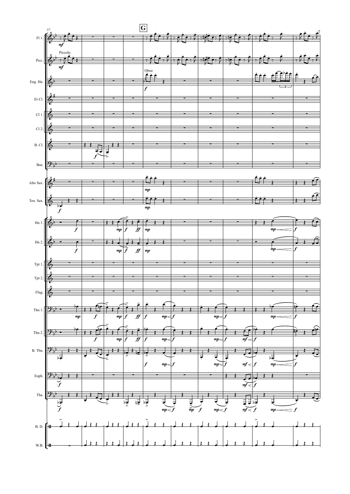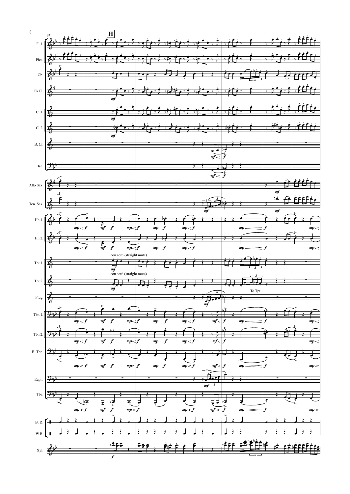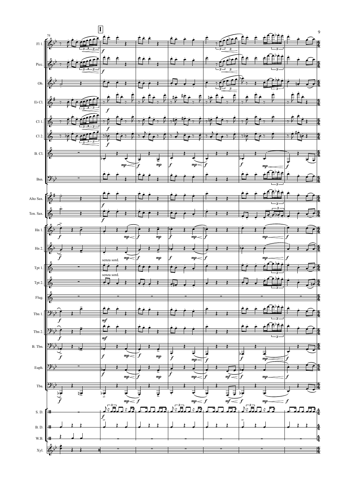$$
\frac{1}{2}
$$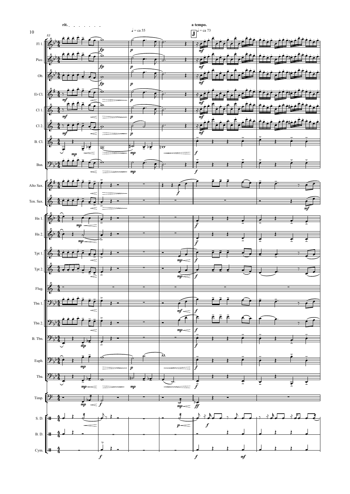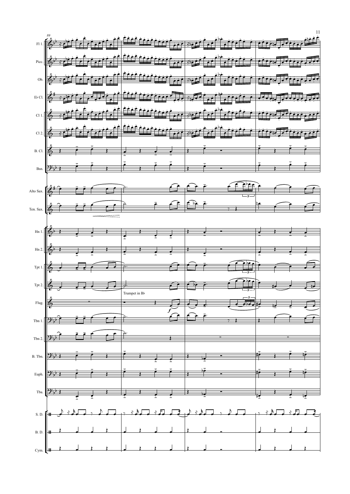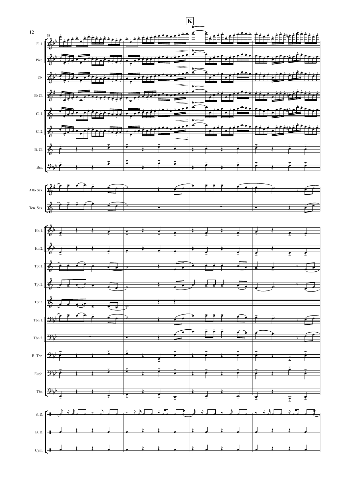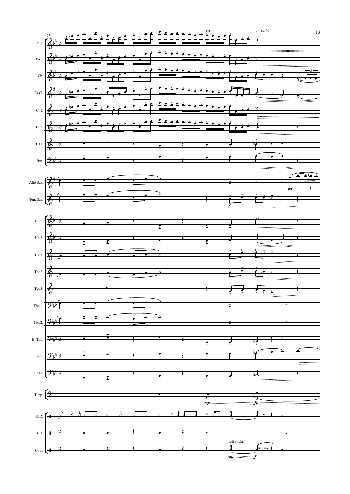